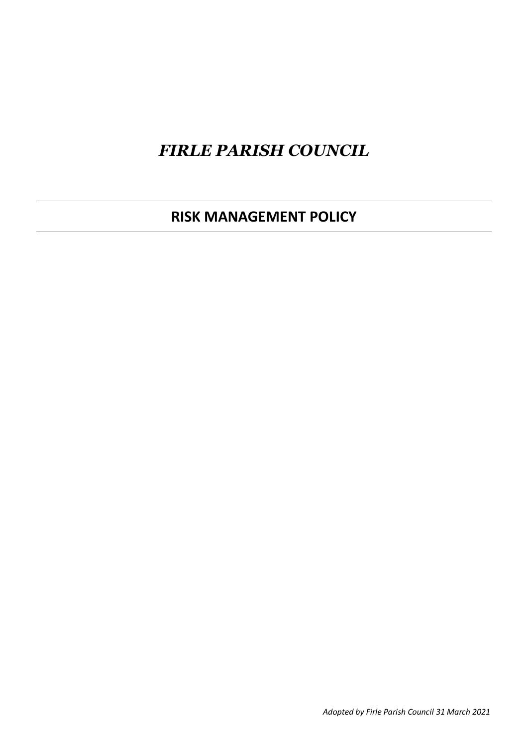# *FIRLE PARISH COUNCIL*

**RISK MANAGEMENT POLICY**